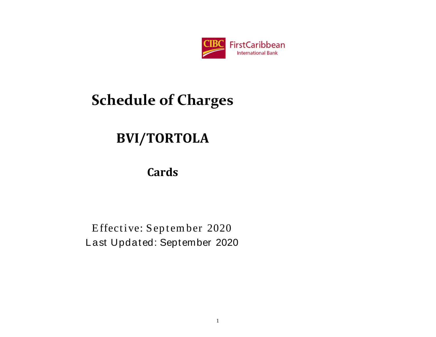

# **BVI/TORTOLA**

# **Cards**

Effective: September 2020 Last Updated: September 2020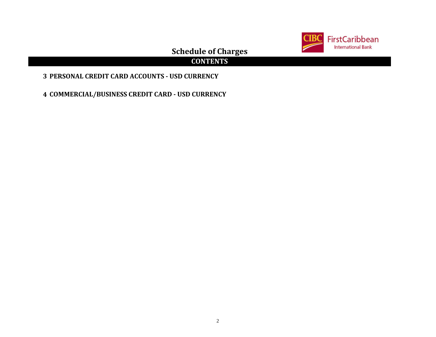

## **CONTENTS**

## **3 PERSONAL CREDIT CARD ACCOUNTS - USD CURRENCY**

**4 COMMERCIAL/BUSINESS CREDIT CARD - USD CURRENCY**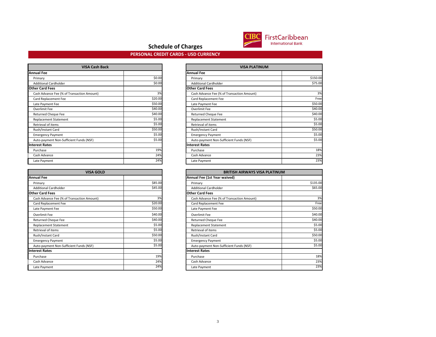

#### **PERSONAL CREDIT CARDS - USD CURRENCY**

| <b>VISA Cash Back</b>                      |         |                        |
|--------------------------------------------|---------|------------------------|
| <b>Annual Fee</b>                          |         | <b>Annual Fee</b>      |
| Primary                                    | \$0.00  | Primary                |
| <b>Additional Cardholder</b>               | \$0.00  | <b>Additional Card</b> |
| <b>Other Card Fees</b>                     |         | <b>Other Card Fees</b> |
| Cash Advance Fee (% of Transaction Amount) | 3%      | Cash Advance F         |
| Card Replacement Fee                       | \$20.00 | Card Replacem          |
| Late Payment Fee                           | \$50.00 | Late Payment F         |
| Overlimit Fee                              | \$40.00 | Overlimit Fee          |
| <b>Returned Cheque Fee</b>                 | \$40.00 | <b>Returned Cheq</b>   |
| <b>Replacement Statement</b>               | \$5.00  | Replacement S          |
| Retrieval of items                         | \$5.00  | Retrieval of iter      |
| Rush/Instant Card                          | \$50.00 | Rush/Instant Ca        |
| <b>Emergency Payment</b>                   | \$5.00  | <b>Emergency Pay</b>   |
| Auto-payment Non-Sufficient Funds (NSF)    | \$5.00  | Auto-payment           |
| <b>Interest Rates</b>                      |         | <b>Interest Rates</b>  |
| Purchase                                   | 19%     | Purchase               |
| Cash Advance                               | 24%     | Cash Advance           |
| Late Payment                               | 24%     | Late Payment           |

| <b>VISA GOLD</b>                           |         | <b>BRITIS</b>                |
|--------------------------------------------|---------|------------------------------|
| <b>Annual Fee</b>                          |         | Annual Fee (1st Year waived) |
| Primary                                    | \$85.00 | Primary                      |
| <b>Additional Cardholder</b>               | \$45.00 | <b>Additional Cardholder</b> |
| <b>Other Card Fees</b>                     |         | <b>Other Card Fees</b>       |
| Cash Advance Fee (% of Transaction Amount) | 3%      | Cash Advance Fee (% of Trans |
| Card Replacement Fee                       | \$20.00 | Card Replacement Fee         |
| Late Payment Fee                           | \$50.00 | Late Payment Fee             |
| Overlimit Fee                              | \$40.00 | Overlimit Fee                |
| <b>Returned Cheque Fee</b>                 | \$40.00 | <b>Returned Cheque Fee</b>   |
| <b>Replacement Statement</b>               | \$5.00  | <b>Replacement Statement</b> |
| Retrieval of items                         | \$5.00  | Retrieval of items           |
| Rush/Instant Card                          | \$50.00 | Rush/Instant Card            |
| <b>Emergency Payment</b>                   | \$5.00  | <b>Emergency Payment</b>     |
| Auto-payment Non-Sufficient Funds (NSF)    | \$5.00  | Auto-payment Non-Sufficient  |
| <b>Interest Rates</b>                      |         | <b>Interest Rates</b>        |
| Purchase                                   | 19%     | Purchase                     |
| Cash Advance                               | 24%     | Cash Advance                 |
| Late Payment                               | 24%     | Late Payment                 |

| <b>VISA Cash Back</b>                      |         | <b>VISA PLATINUM</b>                       |          |
|--------------------------------------------|---------|--------------------------------------------|----------|
| nual Fee                                   |         | <b>Annual Fee</b>                          |          |
| Primary                                    | \$0.00  | Primary                                    | \$150.00 |
| <b>Additional Cardholder</b>               | \$0.00  | <b>Additional Cardholder</b>               | \$75.00  |
| her Card Fees                              |         | <b>Other Card Fees</b>                     |          |
| Cash Advance Fee (% of Transaction Amount) | 3%      | Cash Advance Fee (% of Transaction Amount) | 3%       |
| Card Replacement Fee                       | \$20.00 | Card Replacement Fee                       | Free     |
| Late Payment Fee                           | \$50.00 | Late Payment Fee                           | \$50.00  |
| Overlimit Fee                              | \$40.00 | Overlimit Fee                              | \$40.00  |
| <b>Returned Cheque Fee</b>                 | \$40.00 | <b>Returned Cheque Fee</b>                 | \$40.00  |
| Replacement Statement                      | \$5.00  | <b>Replacement Statement</b>               | \$5.00   |
| Retrieval of items                         | \$5.00  | Retrieval of items                         | \$5.00   |
| Rush/Instant Card                          | \$50.00 | Rush/Instant Card                          | \$50.00  |
| <b>Emergency Payment</b>                   | \$5.00  | <b>Emergency Payment</b>                   | \$5.00   |
| Auto-payment Non-Sufficient Funds (NSF)    | \$5.00  | Auto-payment Non-Sufficient Funds (NSF)    | \$5.00   |
| erest Rates                                |         | <b>Interest Rates</b>                      |          |
| Purchase                                   | 19%     | Purchase                                   | 18%      |
| Cash Advance                               | 24%     | Cash Advance                               | 23%      |
| Late Payment                               | 24%     | Late Payment                               | 23%      |

| <b>VISA GOLD</b>                           |         | <b>BRITISH AIRWAYS VISA PLATINUM</b>       |          |
|--------------------------------------------|---------|--------------------------------------------|----------|
| nual Fee                                   |         | Annual Fee (1st Year waived)               |          |
| Primary                                    | \$85.00 | Primary                                    | \$135.00 |
| <b>Additional Cardholder</b>               | \$45.00 | <b>Additional Cardholder</b>               | \$65.00  |
| her Card Fees                              |         | <b>Other Card Fees</b>                     |          |
| Cash Advance Fee (% of Transaction Amount) | 3%      | Cash Advance Fee (% of Transaction Amount) | 3%       |
| Card Replacement Fee                       | \$20.00 | Card Replacement Fee                       | Free     |
| Late Payment Fee                           | \$50.00 | Late Payment Fee                           | \$50.00  |
| Overlimit Fee                              | \$40.00 | Overlimit Fee                              | \$40.00  |
| Returned Cheque Fee                        | \$40.00 | Returned Cheque Fee                        | \$40.00  |
| Replacement Statement                      | \$5.00  | <b>Replacement Statement</b>               | \$5.00   |
| Retrieval of items                         | \$5.00  | Retrieval of items                         | \$5.00   |
| Rush/Instant Card                          | \$50.00 | Rush/Instant Card                          | \$50.00  |
| <b>Emergency Payment</b>                   | \$5.00  | <b>Emergency Payment</b>                   | \$5.00   |
| Auto-payment Non-Sufficient Funds (NSF)    | \$5.00  | Auto-payment Non-Sufficient Funds (NSF)    | \$5.00   |
| erest Rates                                |         | <b>Interest Rates</b>                      |          |
| Purchase                                   | 19%     | Purchase                                   | 18%      |
| Cash Advance                               | 24%     | Cash Advance                               | 23%      |
| Late Payment                               | 24%     | Late Payment                               | 23%      |